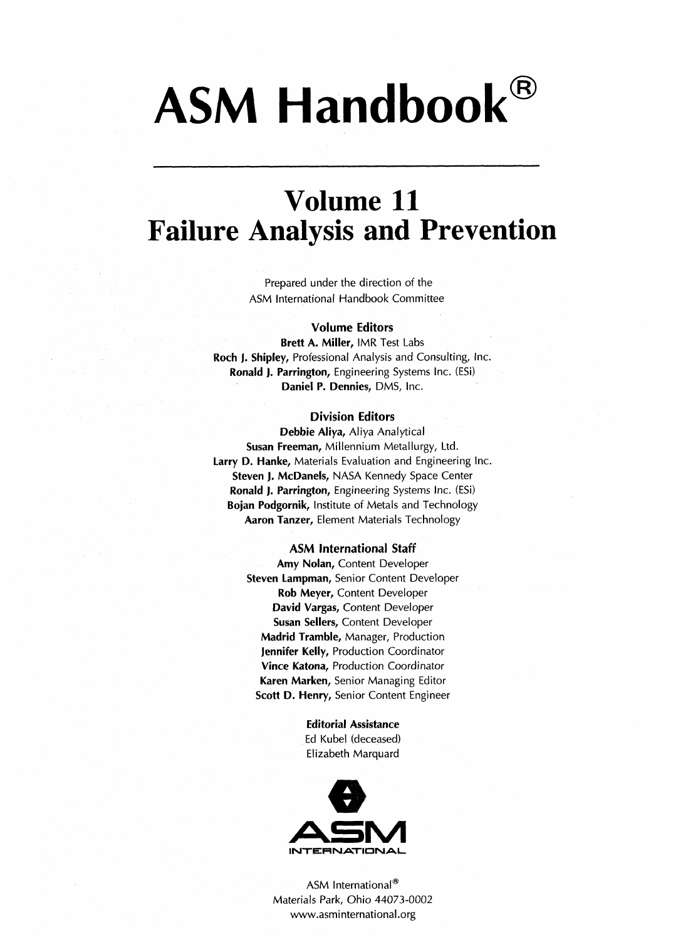# ASM Handbook®

### Volume 11 Failure Analysis and Prevention

Prepared under the direction of the ASM International Handbook Committee

### Volume Editors

Brett A. Miller, IMR Test Labs Roch J. Shipley, Professional Analysis and Consulting, Inc. Ronald J. Parrington, Engineering Systems Inc. (ESi) Daniel P. Dennies, DMS, Inc.

### Division Editors

Debbie Aliya, Aliya Analytical Susan Freeman, Millennium Metallurgy, Ltd. Larry D. Hanke, Materials Evaluation and Engineering Inc. Steven J. McDanels, NASA Kennedy Space Center Ronald J. Parrington, Engineering Systems Inc. (ESi) Bojan Podgornik, Institute of Metals and Technology **Aaron Tanzer, Element Materials Technology** 

#### ASM International Staff

Amy Nolan, Content Developer Steven Lampman, Senior Content Developer Rob Meyer, Content Developer David Vargas, Content Developer Susan Sellers, Content Developer Madrid Tramble, Manager, Production Jennifer Kelly, Production Coordinator Vince Katona, Production Coordinator Karen Marken, Senior Managing Editor Scott D. Henry, Senior Content Engineer

> Editorial Assistance Ed Kubel (deceased) Elizabeth Marquard



ASM International<sup>®</sup> Materials Park, Ohio 44073-0002 www.asminternational.org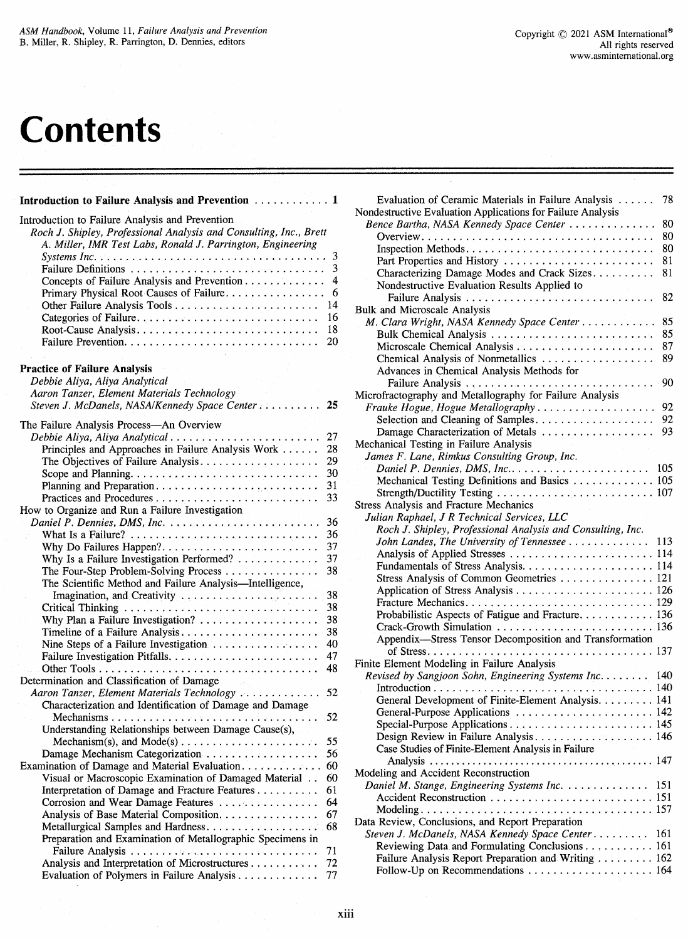## **Contents**

### Introduction to Failure Analysis and Prevention .............. 1

| Introduction to Failure Analysis and Prevention<br>Roch J. Shipley, Professional Analysis and Consulting, Inc., Brett<br>A. Miller, IMR Test Labs, Ronald J. Parrington, Engineering |             |
|--------------------------------------------------------------------------------------------------------------------------------------------------------------------------------------|-------------|
| Concepts of Failure Analysis and Prevention                                                                                                                                          | 3<br>3<br>4 |
| Primary Physical Root Causes of Failure                                                                                                                                              | 6           |
| Other Failure Analysis Tools                                                                                                                                                         | 14          |
|                                                                                                                                                                                      | 16          |
| Root-Cause Analysis                                                                                                                                                                  | 18          |
|                                                                                                                                                                                      | 20          |
| <b>Practice of Failure Analysis</b>                                                                                                                                                  |             |
| Debbie Aliya, Aliya Analytical                                                                                                                                                       |             |
| Aaron Tanzer, Element Materials Technology                                                                                                                                           |             |
| Steven J. McDanels, NASA/Kennedy Space Center                                                                                                                                        | 25          |
| The Failure Analysis Process-An Overview                                                                                                                                             |             |
| Debbie Aliya, Aliya Analytical                                                                                                                                                       | 27          |
| Principles and Approaches in Failure Analysis Work                                                                                                                                   | 28          |
| The Objectives of Failure Analysis                                                                                                                                                   | 29          |
|                                                                                                                                                                                      | 30          |
|                                                                                                                                                                                      | 31          |
|                                                                                                                                                                                      | 33          |
| How to Organize and Run a Failure Investigation                                                                                                                                      |             |
| Daniel P. Dennies, DMS, Inc.                                                                                                                                                         | 36          |
|                                                                                                                                                                                      | 36          |
| Why Do Failures Happen?                                                                                                                                                              | 37          |
| Why Is a Failure Investigation Performed?                                                                                                                                            | 37          |
| The Four-Step Problem-Solving Process                                                                                                                                                | 38          |
| The Scientific Method and Failure Analysis-Intelligence,                                                                                                                             |             |
| Imagination, and Creativity                                                                                                                                                          | 38          |
|                                                                                                                                                                                      | 38          |
|                                                                                                                                                                                      | 38          |
|                                                                                                                                                                                      | 38          |
|                                                                                                                                                                                      | 40          |
| Nine Steps of a Failure Investigation                                                                                                                                                | 47          |
|                                                                                                                                                                                      | 48          |
|                                                                                                                                                                                      |             |
| Determination and Classification of Damage<br><b>Contractor</b>                                                                                                                      |             |
| Aaron Tanzer, Element Materials Technology                                                                                                                                           | 52          |
| Characterization and Identification of Damage and Damage                                                                                                                             |             |
|                                                                                                                                                                                      | 52          |
| Understanding Relationships between Damage Cause(s),                                                                                                                                 |             |
|                                                                                                                                                                                      | 55          |
| Damage Mechanism Categorization                                                                                                                                                      | 56          |
| Examination of Damage and Material Evaluation                                                                                                                                        | 60          |
| Visual or Macroscopic Examination of Damaged Material                                                                                                                                | 60          |
| Interpretation of Damage and Fracture Features                                                                                                                                       | 61          |
| Corrosion and Wear Damage Features                                                                                                                                                   | 64          |
| Analysis of Base Material Composition.                                                                                                                                               | 67          |
|                                                                                                                                                                                      |             |
| Preparation and Examination of Metallographic Specimens in                                                                                                                           |             |
|                                                                                                                                                                                      | 71          |
| Analysis and Interpretation of Microstructures                                                                                                                                       | 72          |
| Evaluation of Polymers in Failure Analysis                                                                                                                                           | 77          |

| Evaluation of Ceramic Materials in Failure Analysis                                              | 78  |
|--------------------------------------------------------------------------------------------------|-----|
| Nondestructive Evaluation Applications for Failure Analysis                                      |     |
| Bence Bartha, NASA Kennedy Space Center                                                          | 80  |
|                                                                                                  | 80  |
|                                                                                                  | 80  |
| Part Properties and History                                                                      | 81  |
| Characterizing Damage Modes and Crack Sizes                                                      | 81  |
| Nondestructive Evaluation Results Applied to                                                     |     |
|                                                                                                  | 82  |
| <b>Bulk and Microscale Analysis</b>                                                              |     |
| M. Clara Wright, NASA Kennedy Space Center                                                       | 85  |
| Bulk Chemical Analysis                                                                           | 85  |
|                                                                                                  | 87  |
| Chemical Analysis of Nonmetallics                                                                | 89  |
| Advances in Chemical Analysis Methods for                                                        | 90  |
| Microfractography and Metallography for Failure Analysis                                         |     |
| Frauke Hogue, Hogue Metallography                                                                | 92  |
| Selection and Cleaning of Samples                                                                | 92  |
| Damage Characterization of Metals                                                                | 93  |
| Mechanical Testing in Failure Analysis                                                           |     |
| James F. Lane, Rimkus Consulting Group, Inc.                                                     |     |
| Daniel P. Dennies, DMS, Inc                                                                      | 105 |
| Mechanical Testing Definitions and Basics  105                                                   |     |
|                                                                                                  |     |
| Stress Analysis and Fracture Mechanics                                                           |     |
| Julian Raphael, J R Technical Services, LLC                                                      |     |
| Roch J. Shipley, Professional Analysis and Consulting, Inc.                                      |     |
| John Landes, The University of Tennessee                                                         | 113 |
| Analysis of Applied Stresses  114                                                                |     |
|                                                                                                  |     |
| Stress Analysis of Common Geometries  121                                                        |     |
|                                                                                                  |     |
|                                                                                                  |     |
| Probabilistic Aspects of Fatigue and Fracture 136                                                |     |
| Crack-Growth Simulation  136                                                                     |     |
| Appendix-Stress Tensor Decomposition and Transformation                                          |     |
|                                                                                                  |     |
| Finite Element Modeling in Failure Analysis<br>Revised by Sangjoon Sohn, Engineering Systems Inc | 140 |
|                                                                                                  |     |
| General Development of Finite-Element Analysis. 141                                              |     |
| General-Purpose Applications  142                                                                |     |
|                                                                                                  |     |
| Design Review in Failure Analysis 146                                                            |     |
| Case Studies of Finite-Element Analysis in Failure                                               |     |
|                                                                                                  |     |
| Modeling and Accident Reconstruction                                                             |     |
| Daniel M. Stange, Engineering Systems Inc.                                                       | 151 |
|                                                                                                  |     |
|                                                                                                  |     |
| Data Review, Conclusions, and Report Preparation                                                 |     |
| Steven J. McDanels, NASA Kennedy Space Center                                                    | 161 |
| Reviewing Data and Formulating Conclusions 161                                                   |     |
| Failure Analysis Report Preparation and Writing  162                                             |     |
| Follow-Up on Recommendations  164                                                                |     |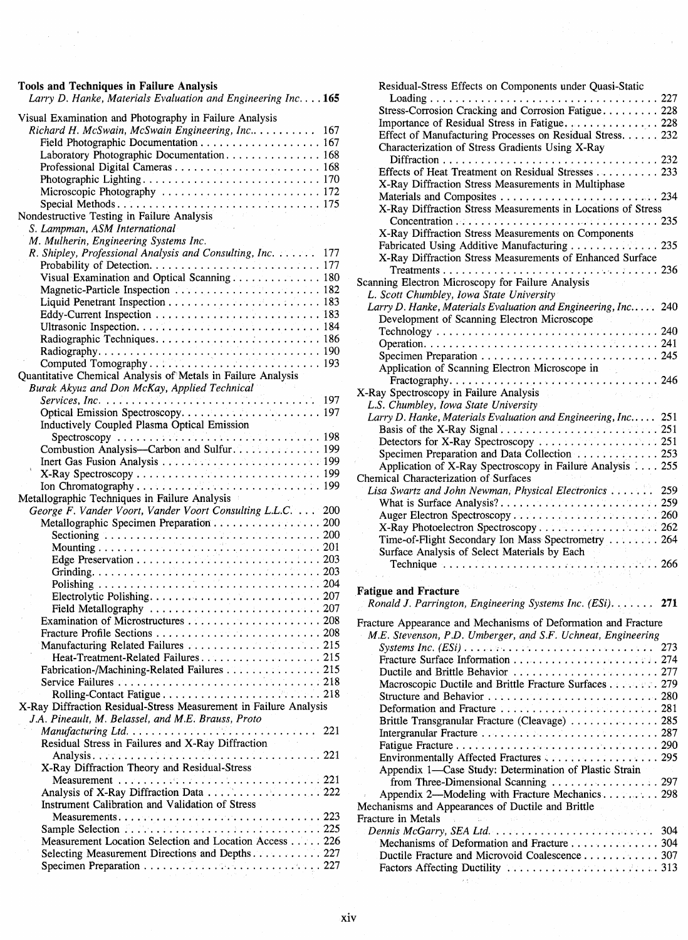### Tools and Techniques in Failure Analysis

 $\bar{\rho} = 0$ 

Larry D. Hanke, Materials Evaluation and Engineering Inc.... 165

| Visual Examination and Photography in Failure Analysis            |
|-------------------------------------------------------------------|
| Richard H. McSwain, McSwain Engineering, Inc 167                  |
| Field Photographic Documentation 167                              |
| Laboratory Photographic Documentation 168                         |
|                                                                   |
|                                                                   |
|                                                                   |
|                                                                   |
| Nondestructive Testing in Failure Analysis                        |
| S. Lampman, ASM International                                     |
| M. Mulherin, Engineering Systems Inc.                             |
| R. Shipley, Professional Analysis and Consulting, Inc.<br>177     |
|                                                                   |
| Visual Examination and Optical Scanning 180                       |
|                                                                   |
|                                                                   |
|                                                                   |
|                                                                   |
|                                                                   |
|                                                                   |
|                                                                   |
| Quantitative Chemical Analysis of Metals in Failure Analysis      |
| Burak Akyuz and Don McKay, Applied Technical                      |
|                                                                   |
|                                                                   |
| Inductively Coupled Plasma Optical Emission                       |
| Spectroscopy<br>Combustion Analysis—Carbon and Sulfur.<br>199     |
|                                                                   |
|                                                                   |
|                                                                   |
|                                                                   |
|                                                                   |
|                                                                   |
| Metallographic Techniques in Failure Analysis                     |
| George F. Vander Voort, Vander Voort Consulting L.L.C. 200        |
| Metallographic Specimen Preparation 200                           |
|                                                                   |
|                                                                   |
|                                                                   |
|                                                                   |
|                                                                   |
|                                                                   |
|                                                                   |
|                                                                   |
|                                                                   |
|                                                                   |
|                                                                   |
| Fabrication-/Machining-Related Failures 215                       |
|                                                                   |
|                                                                   |
| X-Ray Diffraction Residual-Stress Measurement in Failure Analysis |
| J.A. Pineault, M. Belassel, and M.E. Brauss, Proto                |
| 221                                                               |
| Residual Stress in Failures and X-Ray Diffraction                 |
|                                                                   |
| X-Ray Diffraction Theory and Residual-Stress                      |
|                                                                   |
|                                                                   |
| Instrument Calibration and Validation of Stress                   |
|                                                                   |
|                                                                   |
| Measurement Location Selection and Location Access 226            |
| Selecting Measurement Directions and Depths 227                   |

| Residual-Stress Effects on Components under Quasi-Static                                                                          |     |
|-----------------------------------------------------------------------------------------------------------------------------------|-----|
|                                                                                                                                   |     |
| Stress-Corrosion Cracking and Corrosion Fatigue 228                                                                               |     |
|                                                                                                                                   |     |
| Effect of Manufacturing Processes on Residual Stress 232                                                                          |     |
| Characterization of Stress Gradients Using X-Ray                                                                                  |     |
|                                                                                                                                   |     |
| Effects of Heat Treatment on Residual Stresses 233                                                                                |     |
| X-Ray Diffraction Stress Measurements in Multiphase                                                                               |     |
|                                                                                                                                   |     |
| X-Ray Diffraction Stress Measurements in Locations of Stress                                                                      |     |
|                                                                                                                                   |     |
| X-Ray Diffraction Stress Measurements on Components                                                                               |     |
| Fabricated Using Additive Manufacturing 235                                                                                       |     |
| X-Ray Diffraction Stress Measurements of Enhanced Surface                                                                         |     |
|                                                                                                                                   |     |
| Scanning Electron Microscopy for Failure Analysis                                                                                 |     |
| L. Scott Chumbley, Iowa State University                                                                                          |     |
| Larry D. Hanke, Materials Evaluation and Engineering, Inc                                                                         | 240 |
| Development of Scanning Electron Microscope                                                                                       |     |
|                                                                                                                                   |     |
|                                                                                                                                   |     |
|                                                                                                                                   |     |
| Application of Scanning Electron Microscope in                                                                                    |     |
|                                                                                                                                   |     |
| X-Ray Spectroscopy in Failure Analysis<br>$\mathcal{F}_{\mathcal{A}}$ , and $\mathcal{F}_{\mathcal{A}}$<br>and the second second. |     |
| L.S. Chumbley, Iowa State University                                                                                              |     |
| Larry D. Hanke, Materials Evaluation and Engineering, Inc 251                                                                     |     |
|                                                                                                                                   |     |
|                                                                                                                                   |     |
| Specimen Preparation and Data Collection 253                                                                                      |     |
| Application of X-Ray Spectroscopy in Failure Analysis 255                                                                         |     |
| Chemical Characterization of Surfaces                                                                                             |     |
| Lisa Swartz and John Newman, Physical Electronics  259                                                                            |     |
|                                                                                                                                   |     |
|                                                                                                                                   |     |
|                                                                                                                                   |     |
| Time-of-Flight Secondary Ion Mass Spectrometry  264                                                                               |     |
| Surface Analysis of Select Materials by Each                                                                                      |     |
| $\ldots$ . 266                                                                                                                    |     |
|                                                                                                                                   |     |

Fatigue and Fracture

 $\bar{r}$ 

### Ronald J. Parrington, Engineering Systems Inc. (ESi)....... 271

| Fracture Appearance and Mechanisms of Deformation and Fracture                  |
|---------------------------------------------------------------------------------|
| M.E. Stevenson, P.D. Umberger, and S.F. Uchneat, Engineering                    |
|                                                                                 |
|                                                                                 |
|                                                                                 |
| Macroscopic Ductile and Brittle Fracture Surfaces 279                           |
|                                                                                 |
| Deformation and Fracture $\ldots \ldots \ldots \ldots \ldots \ldots \ldots 281$ |
| Brittle Transgranular Fracture (Cleavage) 285                                   |
|                                                                                 |
|                                                                                 |
|                                                                                 |
| Appendix 1—Case Study: Determination of Plastic Strain                          |
| from Three-Dimensional Scanning $\ldots \ldots \ldots \ldots \ldots$ . 297      |
|                                                                                 |
| Mechanisms and Appearances of Ductile and Brittle                               |
| Fracture in Metals                                                              |
|                                                                                 |
| Mechanisms of Deformation and Fracture 304                                      |
|                                                                                 |
|                                                                                 |
|                                                                                 |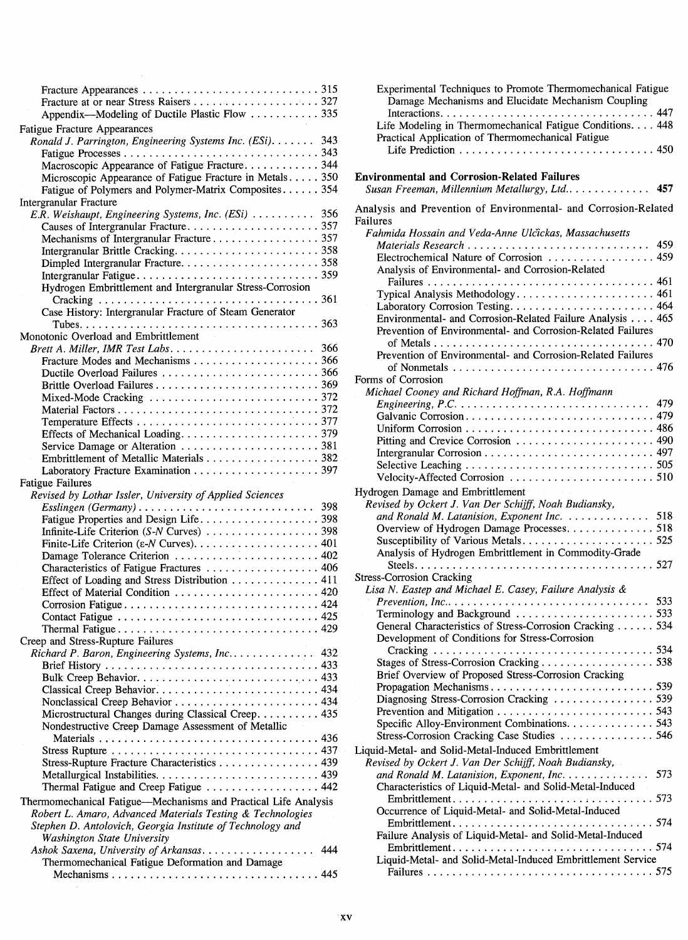| Appendix—Modeling of Ductile Plastic Flow 335                                  |     |
|--------------------------------------------------------------------------------|-----|
| <b>Fatigue Fracture Appearances</b>                                            |     |
| Ronald J. Parrington, Engineering Systems Inc. (ESi). 343                      |     |
|                                                                                |     |
| Macroscopic Appearance of Fatigue Fracture344                                  |     |
| Microscopic Appearance of Fatigue Fracture in Metals 350                       |     |
| Fatigue of Polymers and Polymer-Matrix Composites 354                          |     |
| Intergranular Fracture<br>E.R. Weishaupt, Engineering Systems, Inc. (ESi)  356 |     |
|                                                                                |     |
|                                                                                |     |
|                                                                                |     |
|                                                                                |     |
|                                                                                |     |
| Hydrogen Embrittlement and Intergranular Stress-Corrosion                      |     |
|                                                                                |     |
| Case History: Intergranular Fracture of Steam Generator                        |     |
|                                                                                |     |
| Monotonic Overload and Embrittlement                                           |     |
|                                                                                |     |
|                                                                                |     |
|                                                                                |     |
|                                                                                |     |
|                                                                                |     |
|                                                                                |     |
|                                                                                |     |
|                                                                                |     |
| Embrittlement of Metallic Materials 382                                        |     |
|                                                                                |     |
| <b>Fatigue Failures</b>                                                        |     |
|                                                                                |     |
|                                                                                |     |
| Revised by Lothar Issler, University of Applied Sciences                       |     |
|                                                                                |     |
|                                                                                |     |
|                                                                                |     |
|                                                                                |     |
| Characteristics of Fatigue Fractures  406                                      |     |
| Effect of Loading and Stress Distribution 411                                  |     |
|                                                                                |     |
|                                                                                |     |
|                                                                                |     |
|                                                                                |     |
| Creep and Stress-Rupture Failures                                              |     |
| Richard P. Baron, Engineering Systems, Inc 432                                 |     |
|                                                                                |     |
|                                                                                |     |
| Classical Creep Behavior 434                                                   |     |
|                                                                                |     |
| Microstructural Changes during Classical Creep. 435                            |     |
| Nondestructive Creep Damage Assessment of Metallic                             |     |
|                                                                                |     |
| Stress-Rupture Fracture Characteristics 439                                    |     |
|                                                                                |     |
| Thermal Fatigue and Creep Fatigue  442                                         |     |
| Thermomechanical Fatigue—Mechanisms and Practical Life Analysis                |     |
| Robert L. Amaro, Advanced Materials Testing & Technologies                     |     |
| Stephen D. Antolovich, Georgia Institute of Technology and                     |     |
| <b>Washington State University</b>                                             |     |
| Ashok Saxena, University of Arkansas.                                          | 444 |
| Thermomechanical Fatigue Deformation and Damage                                |     |
|                                                                                |     |

| Experimental Techniques to Promote Thermomechanical Fatigue<br>Damage Mechanisms and Elucidate Mechanism Coupling |  |
|-------------------------------------------------------------------------------------------------------------------|--|
|                                                                                                                   |  |
| Life Modeling in Thermomechanical Fatigue Conditions. 448                                                         |  |
| Practical Application of Thermomechanical Fatigue                                                                 |  |
|                                                                                                                   |  |
|                                                                                                                   |  |

### Environmental and Corrosion-Related Failures

| Susan Freeman, Millennium Metallurgy, Ltd |  |  |  |  | 457 |
|-------------------------------------------|--|--|--|--|-----|
|-------------------------------------------|--|--|--|--|-----|

Analysis and Prevention of Environmental- and Corrosion-Related Failures

| Fahmida Hossain and Veda-Anne Ulčickas, Massachusetts                                     |     |
|-------------------------------------------------------------------------------------------|-----|
|                                                                                           |     |
| Electrochemical Nature of Corrosion  459                                                  |     |
| Analysis of Environmental- and Corrosion-Related                                          |     |
|                                                                                           |     |
| Typical Analysis Methodology 461                                                          |     |
|                                                                                           |     |
| Environmental- and Corrosion-Related Failure Analysis 465                                 |     |
| Prevention of Environmental- and Corrosion-Related Failures                               |     |
|                                                                                           |     |
|                                                                                           |     |
| Prevention of Environmental- and Corrosion-Related Failures                               |     |
|                                                                                           |     |
| Forms of Corrosion                                                                        |     |
| Michael Cooney and Richard Hoffman, R.A. Hoffmann                                         |     |
| Engineering, $P.C. \ldots \ldots \ldots \ldots \ldots \ldots \ldots \ldots \ldots \ldots$ | 479 |
| Galvanic Corrosion 479                                                                    |     |
|                                                                                           |     |
|                                                                                           |     |
|                                                                                           |     |
|                                                                                           |     |
|                                                                                           |     |
| Hydrogen Damage and Embrittlement                                                         |     |
| Revised by Ockert J. Van Der Schijff, Noah Budiansky,                                     |     |
| and Ronald M. Latanision, Exponent Inc. 518                                               |     |
| Overview of Hydrogen Damage Processes. 518                                                |     |
| Susceptibility of Various Metals525                                                       |     |
|                                                                                           |     |
| Analysis of Hydrogen Embrittlement in Commodity-Grade                                     |     |
|                                                                                           |     |
| <b>Stress-Corrosion Cracking</b>                                                          |     |
| Lisa N. Eastep and Michael E. Casey, Failure Analysis &                                   |     |
|                                                                                           | 533 |
|                                                                                           |     |
| General Characteristics of Stress-Corrosion Cracking  534                                 |     |
| Development of Conditions for Stress-Corrosion                                            |     |
|                                                                                           |     |
| Stages of Stress-Corrosion Cracking 538                                                   |     |
|                                                                                           |     |
| Brief Overview of Proposed Stress-Corrosion Cracking                                      |     |
|                                                                                           |     |
|                                                                                           |     |
| Diagnosing Stress-Corrosion Cracking  539                                                 |     |
|                                                                                           |     |
| Specific Alloy-Environment Combinations. 543                                              |     |
| Stress-Corrosion Cracking Case Studies  546                                               |     |
| Liquid-Metal- and Solid-Metal-Induced Embrittlement                                       |     |
| Revised by Ockert J. Van Der Schijff, Noah Budiansky,                                     |     |
| and Ronald M. Latanision, Exponent, Inc.                                                  | 573 |
| Characteristics of Liquid-Metal- and Solid-Metal-Induced                                  |     |
|                                                                                           |     |
| Occurrence of Liquid-Metal- and Solid-Metal-Induced                                       |     |
|                                                                                           |     |
| Failure Analysis of Liquid-Metal- and Solid-Metal-Induced                                 |     |
|                                                                                           |     |
| Liquid-Metal- and Solid-Metal-Induced Embrittlement Service                               |     |